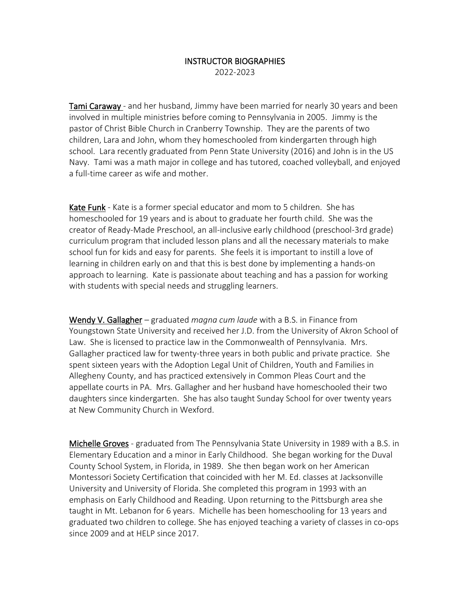## INSTRUCTOR BIOGRAPHIES 2022-2023

Tami Caraway - and her husband, Jimmy have been married for nearly 30 years and been involved in multiple ministries before coming to Pennsylvania in 2005. Jimmy is the pastor of Christ Bible Church in Cranberry Township. They are the parents of two children, Lara and John, whom they homeschooled from kindergarten through high school. Lara recently graduated from Penn State University (2016) and John is in the US Navy. Tami was a math major in college and has tutored, coached volleyball, and enjoyed a full-time career as wife and mother.

Kate Funk - Kate is a former special educator and mom to 5 children. She has homeschooled for 19 years and is about to graduate her fourth child. She was the creator of Ready-Made Preschool, an all-inclusive early childhood (preschool-3rd grade) curriculum program that included lesson plans and all the necessary materials to make school fun for kids and easy for parents. She feels it is important to instill a love of learning in children early on and that this is best done by implementing a hands-on approach to learning. Kate is passionate about teaching and has a passion for working with students with special needs and struggling learners.

Wendy V. Gallagher – graduated *magna cum laude* with a B.S. in Finance from Youngstown State University and received her J.D. from the University of Akron School of Law. She is licensed to practice law in the Commonwealth of Pennsylvania. Mrs. Gallagher practiced law for twenty-three years in both public and private practice. She spent sixteen years with the Adoption Legal Unit of Children, Youth and Families in Allegheny County, and has practiced extensively in Common Pleas Court and the appellate courts in PA. Mrs. Gallagher and her husband have homeschooled their two daughters since kindergarten. She has also taught Sunday School for over twenty years at New Community Church in Wexford.

Michelle Groves - graduated from The Pennsylvania State University in 1989 with a B.S. in Elementary Education and a minor in Early Childhood. She began working for the Duval County School System, in Florida, in 1989. She then began work on her American Montessori Society Certification that coincided with her M. Ed. classes at Jacksonville University and University of Florida. She completed this program in 1993 with an emphasis on Early Childhood and Reading. Upon returning to the Pittsburgh area she taught in Mt. Lebanon for 6 years. Michelle has been homeschooling for 13 years and graduated two children to college. She has enjoyed teaching a variety of classes in co-ops since 2009 and at HELP since 2017.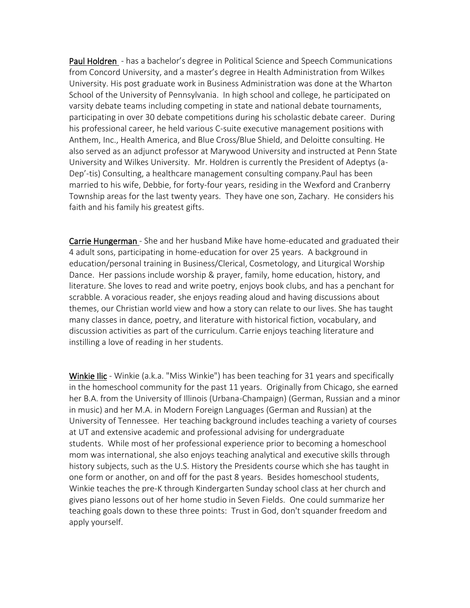Paul Holdren - has a bachelor's degree in Political Science and Speech Communications from Concord University, and a master's degree in Health Administration from Wilkes University. His post graduate work in Business Administration was done at the Wharton School of the University of Pennsylvania. In high school and college, he participated on varsity debate teams including competing in state and national debate tournaments, participating in over 30 debate competitions during his scholastic debate career. During his professional career, he held various C-suite executive management positions with Anthem, Inc., Health America, and Blue Cross/Blue Shield, and Deloitte consulting. He also served as an adjunct professor at Marywood University and instructed at Penn State University and Wilkes University. Mr. Holdren is currently the President of Adeptys (a-Dep'-tis) Consulting, a healthcare management consulting company.Paul has been married to his wife, Debbie, for forty-four years, residing in the Wexford and Cranberry Township areas for the last twenty years. They have one son, Zachary. He considers his faith and his family his greatest gifts.

Carrie Hungerman - She and her husband Mike have home-educated and graduated their 4 adult sons, participating in home-education for over 25 years. A background in education/personal training in Business/Clerical, Cosmetology, and Liturgical Worship Dance. Her passions include worship & prayer, family, home education, history, and literature. She loves to read and write poetry, enjoys book clubs, and has a penchant for scrabble. A voracious reader, she enjoys reading aloud and having discussions about themes, our Christian world view and how a story can relate to our lives. She has taught many classes in dance, poetry, and literature with historical fiction, vocabulary, and discussion activities as part of the curriculum. Carrie enjoys teaching literature and instilling a love of reading in her students.

Winkie Ilic - Winkie (a.k.a. "Miss Winkie") has been teaching for 31 years and specifically in the homeschool community for the past 11 years. Originally from Chicago, she earned her B.A. from the University of Illinois (Urbana-Champaign) (German, Russian and a minor in music) and her M.A. in Modern Foreign Languages (German and Russian) at the University of Tennessee. Her teaching background includes teaching a variety of courses at UT and extensive academic and professional advising for undergraduate students. While most of her professional experience prior to becoming a homeschool mom was international, she also enjoys teaching analytical and executive skills through history subjects, such as the U.S. History the Presidents course which she has taught in one form or another, on and off for the past 8 years. Besides homeschool students, Winkie teaches the pre-K through Kindergarten Sunday school class at her church and gives piano lessons out of her home studio in Seven Fields. One could summarize her teaching goals down to these three points: Trust in God, don't squander freedom and apply yourself.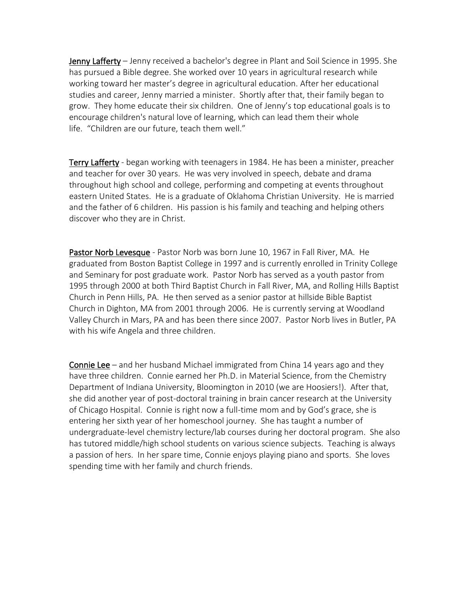Jenny Lafferty – Jenny received a bachelor's degree in Plant and Soil Science in 1995. She has pursued a Bible degree. She worked over 10 years in agricultural research while working toward her master's degree in agricultural education. After her educational studies and career, Jenny married a minister. Shortly after that, their family began to grow. They home educate their six children. One of Jenny's top educational goals is to encourage children's natural love of learning, which can lead them their whole life. "Children are our future, teach them well."

Terry Lafferty - began working with teenagers in 1984. He has been a minister, preacher and teacher for over 30 years. He was very involved in speech, debate and drama throughout high school and college, performing and competing at events throughout eastern United States. He is a graduate of Oklahoma Christian University. He is married and the father of 6 children. His passion is his family and teaching and helping others discover who they are in Christ.

Pastor Norb Levesque - Pastor Norb was born June 10, 1967 in Fall River, MA. He graduated from Boston Baptist College in 1997 and is currently enrolled in Trinity College and Seminary for post graduate work. Pastor Norb has served as a youth pastor from 1995 through 2000 at both Third Baptist Church in Fall River, MA, and Rolling Hills Baptist Church in Penn Hills, PA. He then served as a senior pastor at hillside Bible Baptist Church in Dighton, MA from 2001 through 2006. He is currently serving at Woodland Valley Church in Mars, PA and has been there since 2007. Pastor Norb lives in Butler, PA with his wife Angela and three children.

**Connie Lee** – and her husband Michael immigrated from China 14 years ago and they have three children. Connie earned her Ph.D. in Material Science, from the Chemistry Department of Indiana University, Bloomington in 2010 (we are Hoosiers!). After that, she did another year of post-doctoral training in brain cancer research at the University of Chicago Hospital. Connie is right now a full-time mom and by God's grace, she is entering her sixth year of her homeschool journey. She has taught a number of undergraduate-level chemistry lecture/lab courses during her doctoral program. She also has tutored middle/high school students on various science subjects. Teaching is always a passion of hers. In her spare time, Connie enjoys playing piano and sports. She loves spending time with her family and church friends.